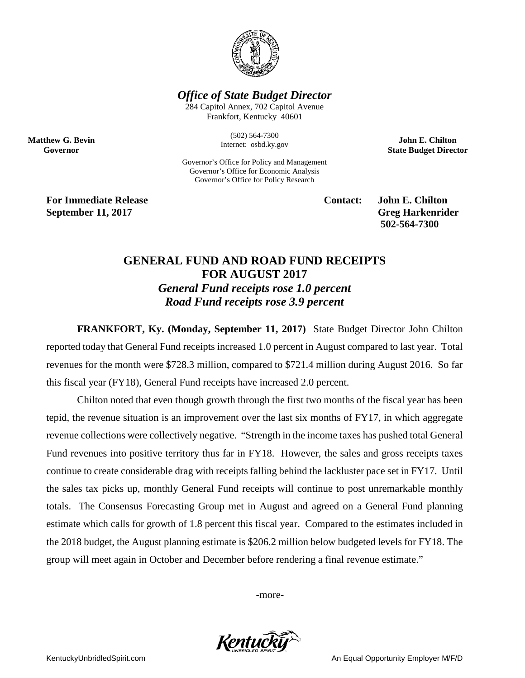

## *Office of State Budget Director*

284 Capitol Annex, 702 Capitol Avenue Frankfort, Kentucky 40601

> (502) 564-7300 Internet: osbd.ky.gov

Governor's Office for Policy and Management Governor's Office for Economic Analysis Governor's Office for Policy Research

**John E. Chilton State Budget Director**

**For Immediate Release Contact: John E. Chilton September 11, 2017** Greg Harkenrider

**Matthew G. Bevin Governor**

**502-564-7300** 

## **GENERAL FUND AND ROAD FUND RECEIPTS FOR AUGUST 2017** *General Fund receipts rose 1.0 percent Road Fund receipts rose 3.9 percent*

**FRANKFORT, Ky. (Monday, September 11, 2017)** State Budget Director John Chilton reported today that General Fund receipts increased 1.0 percent in August compared to last year. Total revenues for the month were \$728.3 million, compared to \$721.4 million during August 2016. So far this fiscal year (FY18), General Fund receipts have increased 2.0 percent.

Chilton noted that even though growth through the first two months of the fiscal year has been tepid, the revenue situation is an improvement over the last six months of FY17, in which aggregate revenue collections were collectively negative. "Strength in the income taxes has pushed total General Fund revenues into positive territory thus far in FY18. However, the sales and gross receipts taxes continue to create considerable drag with receipts falling behind the lackluster pace set in FY17. Until the sales tax picks up, monthly General Fund receipts will continue to post unremarkable monthly totals. The Consensus Forecasting Group met in August and agreed on a General Fund planning estimate which calls for growth of 1.8 percent this fiscal year. Compared to the estimates included in the 2018 budget, the August planning estimate is \$206.2 million below budgeted levels for FY18. The group will meet again in October and December before rendering a final revenue estimate."

-more-



KentuckyUnbridledSpirit.com **An Equal Opportunity Employer M/F/D** An Equal Opportunity Employer M/F/D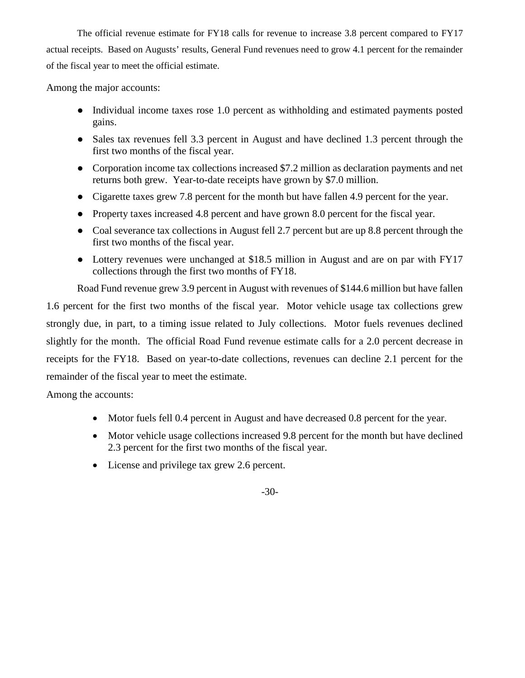The official revenue estimate for FY18 calls for revenue to increase 3.8 percent compared to FY17 actual receipts. Based on Augusts' results, General Fund revenues need to grow 4.1 percent for the remainder of the fiscal year to meet the official estimate.

Among the major accounts:

- Individual income taxes rose 1.0 percent as withholding and estimated payments posted gains.
- Sales tax revenues fell 3.3 percent in August and have declined 1.3 percent through the first two months of the fiscal year.
- Corporation income tax collections increased \$7.2 million as declaration payments and net returns both grew. Year-to-date receipts have grown by \$7.0 million.
- Cigarette taxes grew 7.8 percent for the month but have fallen 4.9 percent for the year.
- Property taxes increased 4.8 percent and have grown 8.0 percent for the fiscal year.
- Coal severance tax collections in August fell 2.7 percent but are up 8.8 percent through the first two months of the fiscal year.
- Lottery revenues were unchanged at \$18.5 million in August and are on par with FY17 collections through the first two months of FY18.

Road Fund revenue grew 3.9 percent in August with revenues of \$144.6 million but have fallen 1.6 percent for the first two months of the fiscal year. Motor vehicle usage tax collections grew strongly due, in part, to a timing issue related to July collections. Motor fuels revenues declined slightly for the month. The official Road Fund revenue estimate calls for a 2.0 percent decrease in receipts for the FY18. Based on year-to-date collections, revenues can decline 2.1 percent for the remainder of the fiscal year to meet the estimate.

Among the accounts:

- Motor fuels fell 0.4 percent in August and have decreased 0.8 percent for the year.
- Motor vehicle usage collections increased 9.8 percent for the month but have declined 2.3 percent for the first two months of the fiscal year.
- License and privilege tax grew 2.6 percent.

## -30-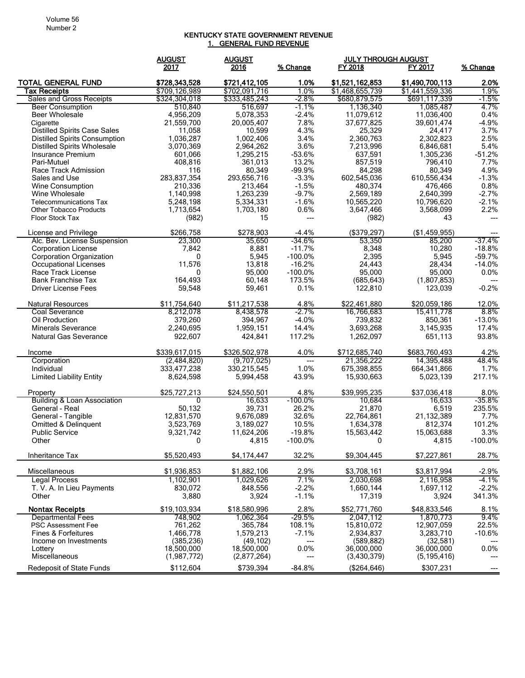## KENTUCKY STATE GOVERNMENT REVENUE 1. GENERAL FUND REVENUE

|                                        | <b>AUGUST</b>  | <b>AUGUST</b>   |                 | <u>JULY THROUGH AUGUST</u> |                 |                 |
|----------------------------------------|----------------|-----------------|-----------------|----------------------------|-----------------|-----------------|
|                                        | 2017           | 2016            | % Change        | FY 2018                    | FY 2017         | % Change        |
| <b>TOTAL GENERAL FUND</b>              | \$728,343,528  | \$721,412,105   | 1.0%            | \$1,521,162,853            | \$1,490,700,113 | 2.0%            |
| Tax Receipts                           | \$709,126,989  | \$702,091,716   | 1.0%            | \$1,468,655,739            | \$1,441,559,336 | 1.9%            |
| Sales and Gross Receipts               | \$324.304.018  | \$333,485,243   | $-2.8%$         | \$680,879,575              | \$691,117,339   | $-1.5%$         |
| <b>Beer Consumption</b>                | 510,840        | 516,697         | $-1.1\%$        | 1,136,340                  | 1,085,487       | 4.7%            |
| <b>Beer Wholesale</b>                  | 4.956.209      | 5.078.353       | $-2.4%$         | 11,079,612                 | 11,036,400      | 0.4%            |
| Cigarette                              | 21,559,700     | 20,005,407      | 7.8%            | 37,677,825                 | 39,601,474      | $-4.9%$         |
| <b>Distilled Spirits Case Sales</b>    | 11,058         | 10,599          | 4.3%            | 25,329                     | 24,417          | 3.7%            |
| <b>Distilled Spirits Consumption</b>   | 1,036,287      | 1,002,406       | 3.4%            | 2,360,763                  | 2,302,823       | 2.5%            |
| <b>Distilled Spirits Wholesale</b>     | 3,070,369      | 2,964,262       | 3.6%            | 7,213,996                  | 6,846,681       | 5.4%            |
| Insurance Premium                      | 601,066        | 1,295,215       | $-53.6%$        | 637,591                    | 1,305,236       | $-51.2%$        |
| Pari-Mutuel                            | 408,816        | 361,013         | 13.2%           | 857,519                    | 796,410         | 7.7%            |
| Race Track Admission                   | 116            | 80,349          | $-99.9%$        | 84,298                     | 80,349          | 4.9%            |
| Sales and Use                          | 283,837,354    | 293,656,716     | $-3.3%$         | 602,545,036                | 610,556,434     | $-1.3%$         |
| Wine Consumption                       | 210,336        | 213,464         | $-1.5%$         | 480,374                    | 476,466         | 0.8%            |
| Wine Wholesale                         | 1,140,998      | 1,263,239       | $-9.7%$         | 2,569,189                  | 2,640,399       | $-2.7%$         |
| <b>Telecommunications Tax</b>          | 5,248,198      | 5,334,331       | $-1.6%$<br>0.6% | 10,565,220                 | 10,796,620      | $-2.1%$<br>2.2% |
| <b>Other Tobacco Products</b>          | 1,713,654      | 1,703,180<br>15 |                 | 3,647,466                  | 3,568,099       |                 |
| <b>Floor Stock Tax</b>                 | (982)          |                 | $---$           | (982)                      | 43              | ---             |
| License and Privilege                  | \$266,758      | \$278,903       | $-4.4%$         | (\$379,297)                | (\$1,459,955)   |                 |
| Alc. Bev. License Suspension           | 23,300         | 35,650          | -34.6%          | 53,350                     | 85,200          | -37.4%          |
| <b>Corporation License</b>             | 7,842          | 8,881           | $-11.7%$        | 8,348                      | 10,280          | $-18.8%$        |
| <b>Corporation Organization</b>        | 0              | 5,945           | $-100.0%$       | 2,395                      | 5,945           | $-59.7%$        |
| Occupational Licenses                  | 11,576         | 13,818          | $-16.2%$        | 24,443                     | 28,434          | $-14.0%$        |
| Race Track License                     | 0              | 95,000          | $-100.0%$       | 95,000                     | 95,000          | 0.0%            |
| <b>Bank Franchise Tax</b>              | 164,493        | 60,148          | 173.5%          | (685, 643)                 | (1,807,853)     |                 |
| Driver License Fees                    | 59,548         | 59,461          | 0.1%            | 122,810                    | 123,039         | $-0.2%$         |
| <b>Natural Resources</b>               | \$11,754,640   | \$11,217,538    | 4.8%            | \$22,461,880               | \$20,059,186    | 12.0%           |
| Coal Severance                         | 8,212,078      | 8,438,578       | $-2.7\%$        | 16,766,683                 | 15,411,778      | $8.8\%$         |
| Oil Production                         | 379,260        | 394,967         | $-4.0%$         | 739,832                    | 850,361         | $-13.0%$        |
| <b>Minerals Severance</b>              | 2,240,695      | 1,959,151       | 14.4%           | 3,693,268                  | 3,145,935       | 17.4%           |
| <b>Natural Gas Severance</b>           | 922,607        | 424,841         | 117.2%          | 1,262,097                  | 651,113         | 93.8%           |
| Income                                 | \$339,617,015  | \$326,502,978   | 4.0%            | \$712,685,740              | \$683,760,493   | 4.2%            |
| Corporation                            | (2,484,820)    | (9,707,025)     | $---$           | 21,356,222                 | 14,395,488      | 48.4%           |
| Individual                             | 333,477,238    | 330,215,545     | 1.0%            | 675,398,855                | 664,341,866     | 1.7%            |
| <b>Limited Liability Entity</b>        | 8,624,598      | 5,994,458       | 43.9%           | 15,930,663                 | 5,023,139       | 217.1%          |
| Property                               | \$25,727,213   | \$24,550,501    | 4.8%            | \$39,995,235               | \$37,036,418    | 8.0%            |
| <b>Building &amp; Loan Association</b> | $\overline{0}$ | 16,633          | $-100.0\%$      | 10,684                     | 16,633          | $-35.8%$        |
| General - Real                         | 50,132         | 39,731          | 26.2%           | 21,870                     | 6,519           | 235.5%          |
| General - Tangible                     | 12.831.570     | 9,676,089       | 32.6%           | 22,764,861                 | 21.132.389      | 7.7%            |
| Omitted & Delinquent                   | 3,523,769      | 3,189,027       | 10.5%           | 1,634,378                  | 812,374         | 101.2%          |
| <b>Public Service</b>                  | 9,321,742      | 11,624,206      | $-19.8%$        | 15,563,442                 | 15,063,688      | 3.3%            |
| Other                                  | 0              | 4,815           | $-100.0\%$      | 0                          | 4,815           | -100.0%         |
| Inheritance Tax                        | \$5,520,493    | \$4,174,447     | 32.2%           | \$9,304,445                | \$7,227,861     | 28.7%           |
| Miscellaneous                          | \$1,936,853    | \$1,882,106     | 2.9%            | \$3,708,161                | \$3,817,994     | $-2.9%$         |
| <b>Legal Process</b>                   | 1,102,901      | 1,029,626       | 7.1%            | 2,030,698                  | 2,116,958       | $-4.1%$         |
| T. V. A. In Lieu Payments              | 830.072        | 848,556         | $-2.2%$         | 1,660,144                  | 1,697,112       | $-2.2%$         |
| Other                                  | 3,880          | 3,924           | $-1.1%$         | 17,319                     | 3,924           | 341.3%          |
| <b>Nontax Receipts</b>                 | \$19,103,934   | \$18,580,996    | 2.8%            | \$52,771,760               | \$48.833.546    | 8.1%            |
| <b>Departmental Fees</b>               | 748,902        | 1,062,364       | -29.5%          | 2,047,112                  | 1,870,773       | 9.4%            |
| <b>PSC Assessment Fee</b>              | 761,262        | 365,784         | 108.1%          | 15,810,072                 | 12,907,059      | 22.5%           |
| <b>Fines &amp; Forfeitures</b>         | 1,466,778      | 1,579,213       | $-7.1%$         | 2,934,837                  | 3,283,710       | $-10.6%$        |
| Income on Investments                  | (385, 236)     | (49, 102)       |                 | (589.882)                  | (32, 581)       |                 |
| Lottery                                | 18,500,000     | 18,500,000      | 0.0%            | 36,000,000                 | 36,000,000      | 0.0%            |
| Miscellaneous                          | (1,987,772)    | (2,877,264)     | ---             | (3,430,379)                | (5, 195, 416)   |                 |
| <b>Redeposit of State Funds</b>        | \$112,604      | \$739,394       | $-84.8%$        | (\$264, 646)               | \$307,231       |                 |